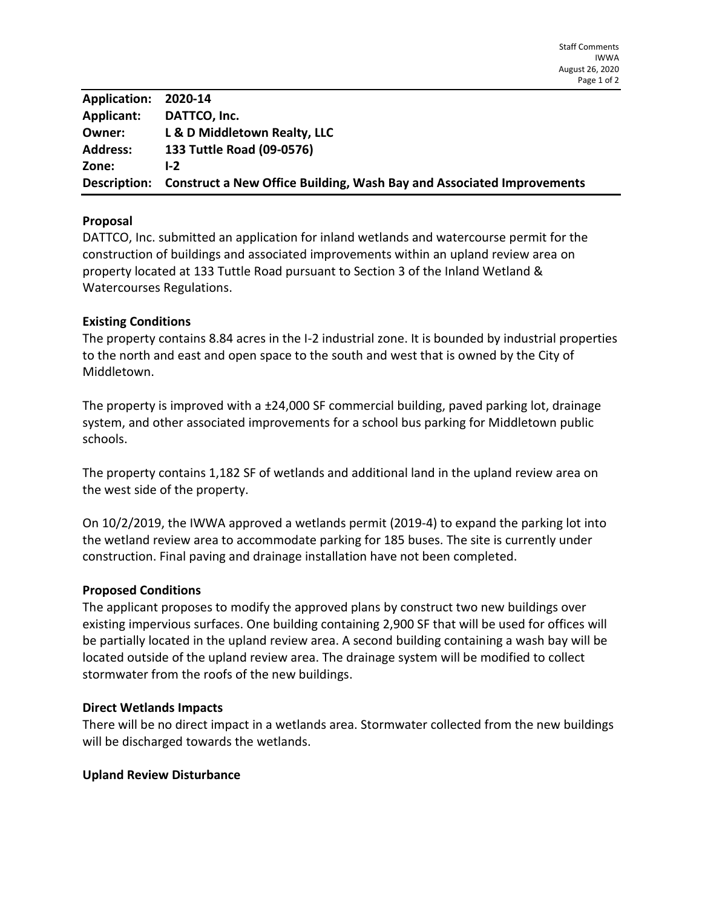| Application: 2020-14 |                                                                                    |
|----------------------|------------------------------------------------------------------------------------|
| Applicant:           | DATTCO, Inc.                                                                       |
| Owner:               | L & D Middletown Realty, LLC                                                       |
| <b>Address:</b>      | 133 Tuttle Road (09-0576)                                                          |
| Zone:                | L <sub>2</sub>                                                                     |
|                      | Description: Construct a New Office Building, Wash Bay and Associated Improvements |

# **Proposal**

DATTCO, Inc. submitted an application for inland wetlands and watercourse permit for the construction of buildings and associated improvements within an upland review area on property located at 133 Tuttle Road pursuant to Section 3 of the Inland Wetland & Watercourses Regulations.

### **Existing Conditions**

The property contains 8.84 acres in the I-2 industrial zone. It is bounded by industrial properties to the north and east and open space to the south and west that is owned by the City of Middletown.

The property is improved with a ±24,000 SF commercial building, paved parking lot, drainage system, and other associated improvements for a school bus parking for Middletown public schools.

The property contains 1,182 SF of wetlands and additional land in the upland review area on the west side of the property.

On 10/2/2019, the IWWA approved a wetlands permit (2019-4) to expand the parking lot into the wetland review area to accommodate parking for 185 buses. The site is currently under construction. Final paving and drainage installation have not been completed.

### **Proposed Conditions**

The applicant proposes to modify the approved plans by construct two new buildings over existing impervious surfaces. One building containing 2,900 SF that will be used for offices will be partially located in the upland review area. A second building containing a wash bay will be located outside of the upland review area. The drainage system will be modified to collect stormwater from the roofs of the new buildings.

### **Direct Wetlands Impacts**

There will be no direct impact in a wetlands area. Stormwater collected from the new buildings will be discharged towards the wetlands.

### **Upland Review Disturbance**